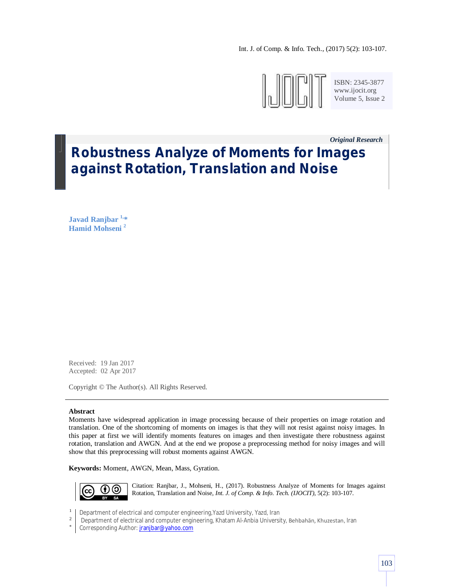Int. J. of Comp. & Info. Tech., (2017) 5(2): 103-107.



ISBN: 2345-3877 www.ijocit.org Volume 5, Issue 2

*Original Research\_\_*

# **Robustness Analyze of Moments for Images against Rotation, Translation and Noise**

**Javad Ranjbar 1, \* Hamid Mohseni <sup>2</sup>**

Received: 19 Jan 2017 Accepted: 02 Apr 2017

Copyright © The Author(s). All Rights Reserved.

### **Abstract**

Moments have widespread application in image processing because of their properties on image rotation and translation. One of the shortcoming of moments on images is that they will not resist against noisy images. In this paper at first we will identify moments features on images and then investigate there robustness against rotation, translation and AWGN. And at the end we propose a preprocessing method for noisy images and will show that this preprocessing will robust moments against AWGN.

**Keywords:** Moment, AWGN, Mean, Mass, Gyration.



Citation: Ranjbar, J., Mohseni, H., (2017). Robustness Analyze of Moments for Images against Rotation, Translation and Noise, *Int. J. of Comp. & Info. Tech. (IJOCIT)*, 5(2): 103-107.

- 1 Department of electrical and computer engineering,Yazd University, Yazd, Iran
- 2 Department of electrical and computer engineering, Khatam Al-Anbia University, Behbahān, Khuzestan, Iran
- \* Corresponding Author: jranjbar@yahoo.com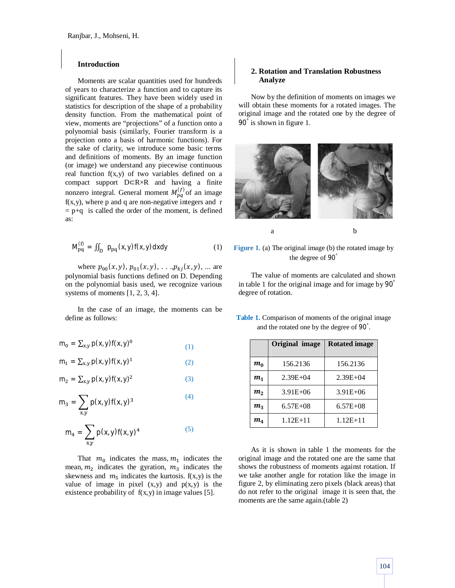### **Introduction**

Moments are scalar quantities used for hundreds of years to characterize a function and to capture its significant features. They have been widely used in statistics for description of the shape of a probability density function. From the mathematical point of view, moments are "projections" of a function onto a polynomial basis (similarly, Fourier transform is a projection onto a basis of harmonic functions). For the sake of clarity, we introduce some basic terms and definitions of moments. By an image function (or image) we understand any piecewise continuous real function f(x,y) of two variables defined on a compact support D⊂R×R and having a finite nonzero integral. General moment  $M_{pq}^{(f)}$  of an image  $f(x,y)$ , where p and q are non-negative integers and r  $=$  p+q is called the order of the moment, is defined as:

$$
M_{pq}^{(f)} = \iint_D \ p_{pq}(x, y) f(x, y) dxdy \tag{1}
$$

where  $p_{00}(x, y), p_{01}(x, y), \ldots, p_{kj}(x, y), \ldots$  are polynomial basis functions defined on D. Depending on the polynomial basis used, we recognize various systems of moments [1, 2, 3, 4].

In the case of an image, the moments can be define as follows:

$$
m_0 = \sum_{x,y} p(x,y) f(x,y)^0
$$
 (1)

$$
m_1 = \sum_{x,y} p(x,y)f(x,y)^1 \tag{2}
$$

$$
m_2 = \sum_{x,y} p(x,y) f(x,y)^2
$$
 (3)

$$
m_3 = \sum_{x,y} p(x,y)f(x,y)^3
$$
 (4)

$$
m_4 = \sum_{x,y} p(x,y) f(x,y)^4
$$
 (5)

That  $m_0$  indicates the mass,  $m_1$  indicates the mean,  $m_2$  indicates the gyration,  $m_3$  indicates the skewness and  $m<sub>5</sub>$  indicates the kurtosis. f(x,y) is the value of image in pixel  $(x,y)$  and  $p(x,y)$  is the existence probability of  $f(x, y)$  in image values [5].

# **2. Rotation and Translation Robustness Analyze**

Now by the definition of moments on images we will obtain these moments for a rotated images. The original image and the rotated one by the degree of 90° is shown in figure 1.



**Figure 1.** (a) The original image (b) the rotated image by the degree of 90°

The value of moments are calculated and shown in table 1 for the original image and for image by 90° degree of rotation.

| <b>Table 1.</b> Comparison of moments of the original image |  |  |
|-------------------------------------------------------------|--|--|
| and the rotated one by the degree of 90°.                   |  |  |

|                                            | Original image | <b>Rotated image</b> |
|--------------------------------------------|----------------|----------------------|
| $m_{0}$                                    | 156.2136       | 156.2136             |
| m <sub>1</sub>                             | $2.39E + 04$   | $2.39E + 04$         |
| $m_{\nu}$                                  | $3.91E + 06$   | $3.91E + 06$         |
| m <sub>3</sub>                             | $6.57E + 08$   | $6.57E + 08$         |
| $\boldsymbol{m}_{\boldsymbol{\varLambda}}$ | $1.12E + 11$   | $1.12E + 11$         |

As it is shown in table 1 the moments for the original image and the rotated one are the same that shows the robustness of moments against rotation. If we take another angle for rotation like the image in figure 2, by eliminating zero pixels (black areas) that do not refer to the original image it is seen that, the moments are the same again.(table 2)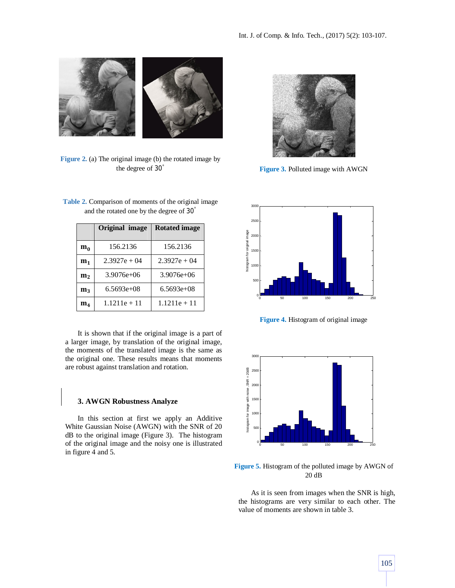

**Figure 2.** (a) The original image (b) the rotated image by the degree of 30°



**Figure 3.** Polluted image with AWGN

|                  | Original image | <b>Rotated image</b> |
|------------------|----------------|----------------------|
| $\mathbf{m}_{0}$ | 156.2136       | 156.2136             |
| m <sub>1</sub>   | $2.3927e + 04$ | $2.3927e + 04$       |
| m <sub>2</sub>   | $3.9076e+06$   | $3.9076e+06$         |
| m <sub>3</sub>   | 6.5693e+08     | $6.5693e+08$         |
| $\mathbf{m}_4$   | $1.1211e + 11$ | $1.1211e + 11$       |

**Table 2.** Comparison of moments of the original image and the rotated one by the degree of 30°

It is shown that if the original image is a part of a larger image, by translation of the original image, the moments of the translated image is the same as the original one. These results means that moments are robust against translation and rotation.

# **3. AWGN Robustness Analyze**

In this section at first we apply an Additive White Gaussian Noise (AWGN) with the SNR of 20 dB to the original image (Figure 3). The histogram of the original image and the noisy one is illustrated in figure 4 and 5.



**Figure 4.** Histogram of original image



**Figure 5.** Histogram of the polluted image by AWGN of 20 dB

As it is seen from images when the SNR is high, the histograms are very similar to each other. The value of moments are shown in table 3.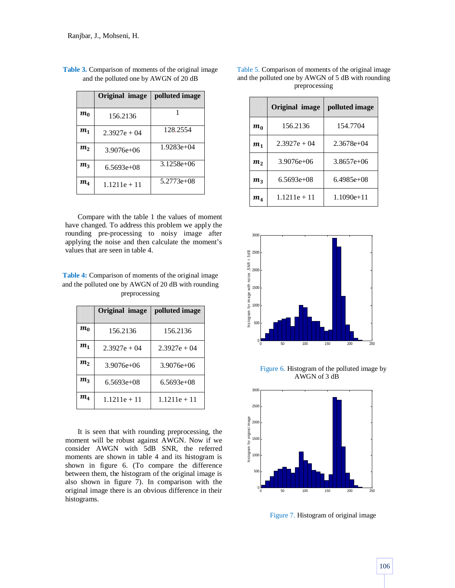|                | Original image | polluted image |
|----------------|----------------|----------------|
| $m_0$          | 156.2136       | 1              |
| m <sub>1</sub> | $2.3927e + 04$ | 128.2554       |
| m <sub>2</sub> | $3.9076e + 06$ | $1.9283e+04$   |
| $m_{\lambda}$  | $6.5693e+08$   | $3.1258e+06$   |
| $m_4$          | $1.1211e + 11$ | $5.2773e+08$   |

**Table 3.** Comparison of moments of the original image and the polluted one by AWGN of 20 dB

Compare with the table 1 the values of moment have changed. To address this problem we apply the rounding pre-processing to noisy image after applying the noise and then calculate the moment's values that are seen in table 4.

**Table 4:** Comparison of moments of the original image and the polluted one by AWGN of 20 dB with rounding preprocessing

|                                         | Original image | polluted image |
|-----------------------------------------|----------------|----------------|
| $m_0$                                   | 156.2136       | 156.2136       |
| m <sub>1</sub>                          | $2.3927e + 04$ | $2.3927e + 04$ |
| m <sub>2</sub>                          | $3.9076e + 06$ | $3.9076e+06$   |
| $\boldsymbol{m}_{\boldsymbol{\lambda}}$ | $6.5693e+08$   | $6.5693e+08$   |
| $m_{\rm \Lambda}$                       | $1.1211e + 11$ | $1.1211e + 11$ |

It is seen that with rounding preprocessing, the moment will be robust against AWGN. Now if we consider AWGN with 5dB SNR, the referred moments are shown in table 4 and its histogram is shown in figure 6. (To compare the difference between them, the histogram of the original image is also shown in figure 7). In comparison with the original image there is an obvious difference in their histograms.

| Table 5. Comparison of moments of the original image |
|------------------------------------------------------|
| and the polluted one by AWGN of 5 dB with rounding   |
| preprocessing                                        |

|                   | Original image | polluted image |
|-------------------|----------------|----------------|
| $m_{0}$           | 156.2136       | 154.7704       |
| m <sub>1</sub>    | $2.3927e + 04$ | $2.3678e+04$   |
| m <sub>2</sub>    | $3.9076e + 06$ | $3.8657e+06$   |
| m <sub>3</sub>    | 6.5693e+08     | $6.4985e+08$   |
| $\bm{m}_{\bm{A}}$ | $1.1211e + 11$ | $1.1090e + 11$ |



Figure 6. Histogram of the polluted image by AWGN of 3 dB



Figure 7. Histogram of original image